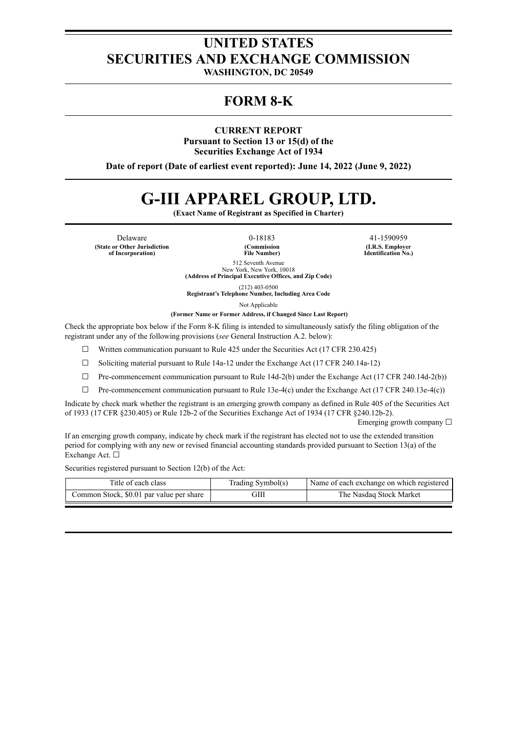# **UNITED STATES SECURITIES AND EXCHANGE COMMISSION**

**WASHINGTON, DC 20549**

## **FORM 8-K**

**CURRENT REPORT**

**Pursuant to Section 13 or 15(d) of the Securities Exchange Act of 1934**

**Date of report (Date of earliest event reported): June 14, 2022 (June 9, 2022)**

# **G-III APPAREL GROUP, LTD.**

**(Exact Name of Registrant as Specified in Charter)**

**(State or Other Jurisdiction of Incorporation)**

**(Commission File Number)**

Delaware 0-18183 41-1590959 **(I.R.S. Employer Identification No.)**

> 512 Seventh Avenue New York, New York, 10018 **(Address of Principal Executive Offices, and Zip Code)**

(212) 403-0500 **Registrant's Telephone Number, Including Area Code**

Not Applicable

**(Former Name or Former Address, if Changed Since Last Report)**

Check the appropriate box below if the Form 8-K filing is intended to simultaneously satisfy the filing obligation of the registrant under any of the following provisions (*see* General Instruction A.2. below):

 $\Box$  Written communication pursuant to Rule 425 under the Securities Act (17 CFR 230.425)

 $\Box$  Soliciting material pursuant to Rule 14a-12 under the Exchange Act (17 CFR 240.14a-12)

 $\Box$  Pre-commencement communication pursuant to Rule 14d-2(b) under the Exchange Act (17 CFR 240.14d-2(b))

 $\Box$  Pre-commencement communication pursuant to Rule 13e-4(c) under the Exchange Act (17 CFR 240.13e-4(c))

Indicate by check mark whether the registrant is an emerging growth company as defined in Rule 405 of the Securities Act of 1933 (17 CFR §230.405) or Rule 12b-2 of the Securities Exchange Act of 1934 (17 CFR §240.12b-2).

Emerging growth company  $\Box$ 

If an emerging growth company, indicate by check mark if the registrant has elected not to use the extended transition period for complying with any new or revised financial accounting standards provided pursuant to Section 13(a) of the Exchange Act. □

Securities registered pursuant to Section 12(b) of the Act:

| Title of each class                      | Trading Symbol(s) | Name of each exchange on which registered |
|------------------------------------------|-------------------|-------------------------------------------|
| Common Stock, \$0.01 par value per share | ЭШ                | The Nasdaq Stock Market                   |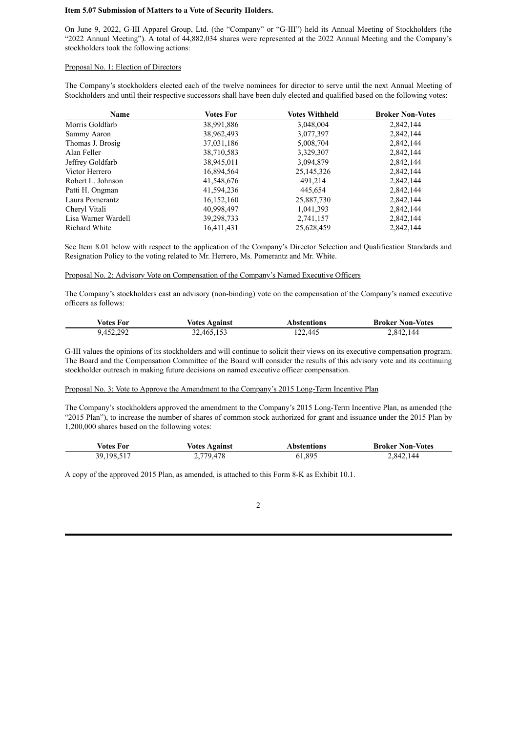#### **Item 5.07 Submission of Matters to a Vote of Security Holders.**

On June 9, 2022, G-III Apparel Group, Ltd. (the "Company" or "G-III") held its Annual Meeting of Stockholders (the "2022 Annual Meeting"). A total of 44,882,034 shares were represented at the 2022 Annual Meeting and the Company's stockholders took the following actions:

#### Proposal No. 1: Election of Directors

The Company's stockholders elected each of the twelve nominees for director to serve until the next Annual Meeting of Stockholders and until their respective successors shall have been duly elected and qualified based on the following votes:

| <b>Name</b>         | <b>Votes For</b> | <b>Votes Withheld</b> | <b>Broker Non-Votes</b> |
|---------------------|------------------|-----------------------|-------------------------|
| Morris Goldfarb     | 38,991,886       | 3,048,004             | 2,842,144               |
| Sammy Aaron         | 38,962,493       | 3,077,397             | 2,842,144               |
| Thomas J. Brosig    | 37,031,186       | 5,008,704             | 2,842,144               |
| Alan Feller         | 38,710,583       | 3,329,307             | 2,842,144               |
| Jeffrey Goldfarb    | 38,945,011       | 3,094,879             | 2,842,144               |
| Victor Herrero      | 16,894,564       | 25, 145, 326          | 2,842,144               |
| Robert L. Johnson   | 41,548,676       | 491,214               | 2,842,144               |
| Patti H. Ongman     | 41,594,236       | 445,654               | 2,842,144               |
| Laura Pomerantz     | 16,152,160       | 25,887,730            | 2,842,144               |
| Cheryl Vitali       | 40,998,497       | 1,041,393             | 2,842,144               |
| Lisa Warner Wardell | 39,298,733       | 2,741,157             | 2,842,144               |
| Richard White       | 16,411,431       | 25,628,459            | 2,842,144               |

See Item 8.01 below with respect to the application of the Company's Director Selection and Qualification Standards and Resignation Policy to the voting related to Mr. Herrero, Ms. Pomerantz and Mr. White.

#### Proposal No. 2: Advisory Vote on Compensation of the Company's Named Executive Officers

The Company's stockholders cast an advisory (non-binding) vote on the compensation of the Company's named executive officers as follows:

| Votes For | Votes Against | Abstentions | <b>Broker Non-Votes</b> |
|-----------|---------------|-------------|-------------------------|
| 9,452,292 | 32,465,153    | 122,445     | 2,842,144               |

G-III values the opinions of its stockholders and will continue to solicit their views on its executive compensation program. The Board and the Compensation Committee of the Board will consider the results of this advisory vote and its continuing stockholder outreach in making future decisions on named executive officer compensation.

#### Proposal No. 3: Vote to Approve the Amendment to the Company's 2015 Long-Term Incentive Plan

The Company's stockholders approved the amendment to the Company's 2015 Long-Term Incentive Plan, as amended (the "2015 Plan"), to increase the number of shares of common stock authorized for grant and issuance under the 2015 Plan by 1,200,000 shares based on the following votes:

| Votes For  | <b>Votes Against</b> | <b>Abstentions</b> | <b>Broker Non-Votes</b> |
|------------|----------------------|--------------------|-------------------------|
| 39,198,517 | 2,779,478            | 61,895             | 2,842,144               |

A copy of the approved 2015 Plan, as amended, is attached to this Form 8-K as Exhibit 10.1.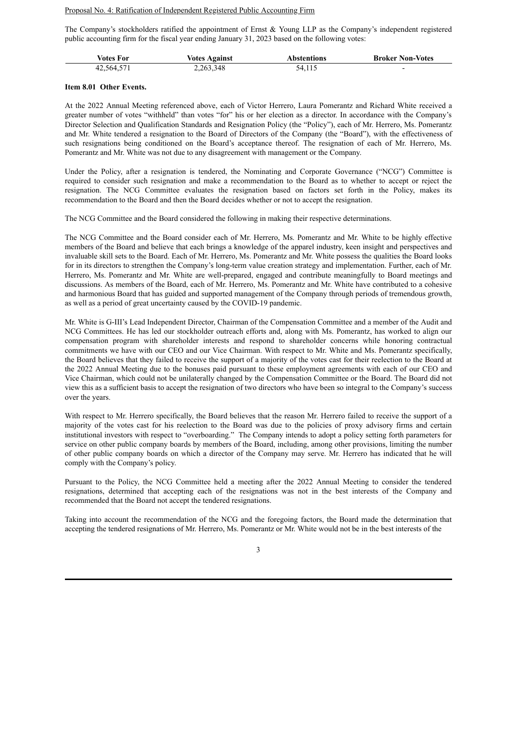#### Proposal No. 4: Ratification of Independent Registered Public Accounting Firm

The Company's stockholders ratified the appointment of Ernst & Young LLP as the Company's independent registered public accounting firm for the fiscal year ending January 31, 2023 based on the following votes:

| Votes For  | <b>Votes Against</b> | <b>Abstentions</b> | <b>Broker Non-Votes</b>  |
|------------|----------------------|--------------------|--------------------------|
| 42,564,571 | 2, 263, 348          | 54,115             | $\overline{\phantom{0}}$ |

#### **Item 8.01 Other Events.**

At the 2022 Annual Meeting referenced above, each of Victor Herrero, Laura Pomerantz and Richard White received a greater number of votes "withheld" than votes "for" his or her election as a director. In accordance with the Company's Director Selection and Qualification Standards and Resignation Policy (the "Policy"), each of Mr. Herrero, Ms. Pomerantz and Mr. White tendered a resignation to the Board of Directors of the Company (the "Board"), with the effectiveness of such resignations being conditioned on the Board's acceptance thereof. The resignation of each of Mr. Herrero, Ms. Pomerantz and Mr. White was not due to any disagreement with management or the Company.

Under the Policy, after a resignation is tendered, the Nominating and Corporate Governance ("NCG") Committee is required to consider such resignation and make a recommendation to the Board as to whether to accept or reject the resignation. The NCG Committee evaluates the resignation based on factors set forth in the Policy, makes its recommendation to the Board and then the Board decides whether or not to accept the resignation.

The NCG Committee and the Board considered the following in making their respective determinations.

The NCG Committee and the Board consider each of Mr. Herrero, Ms. Pomerantz and Mr. White to be highly effective members of the Board and believe that each brings a knowledge of the apparel industry, keen insight and perspectives and invaluable skill sets to the Board. Each of Mr. Herrero, Ms. Pomerantz and Mr. White possess the qualities the Board looks for in its directors to strengthen the Company's long-term value creation strategy and implementation. Further, each of Mr. Herrero, Ms. Pomerantz and Mr. White are well-prepared, engaged and contribute meaningfully to Board meetings and discussions. As members of the Board, each of Mr. Herrero, Ms. Pomerantz and Mr. White have contributed to a cohesive and harmonious Board that has guided and supported management of the Company through periods of tremendous growth, as well as a period of great uncertainty caused by the COVID-19 pandemic.

Mr. White is G-III's Lead Independent Director, Chairman of the Compensation Committee and a member of the Audit and NCG Committees. He has led our stockholder outreach efforts and, along with Ms. Pomerantz, has worked to align our compensation program with shareholder interests and respond to shareholder concerns while honoring contractual commitments we have with our CEO and our Vice Chairman. With respect to Mr. White and Ms. Pomerantz specifically, the Board believes that they failed to receive the support of a majority of the votes cast for their reelection to the Board at the 2022 Annual Meeting due to the bonuses paid pursuant to these employment agreements with each of our CEO and Vice Chairman, which could not be unilaterally changed by the Compensation Committee or the Board. The Board did not view this as a sufficient basis to accept the resignation of two directors who have been so integral to the Company's success over the years.

With respect to Mr. Herrero specifically, the Board believes that the reason Mr. Herrero failed to receive the support of a majority of the votes cast for his reelection to the Board was due to the policies of proxy advisory firms and certain institutional investors with respect to "overboarding." The Company intends to adopt a policy setting forth parameters for service on other public company boards by members of the Board, including, among other provisions, limiting the number of other public company boards on which a director of the Company may serve. Mr. Herrero has indicated that he will comply with the Company's policy.

Pursuant to the Policy, the NCG Committee held a meeting after the 2022 Annual Meeting to consider the tendered resignations, determined that accepting each of the resignations was not in the best interests of the Company and recommended that the Board not accept the tendered resignations.

Taking into account the recommendation of the NCG and the foregoing factors, the Board made the determination that accepting the tendered resignations of Mr. Herrero, Ms. Pomerantz or Mr. White would not be in the best interests of the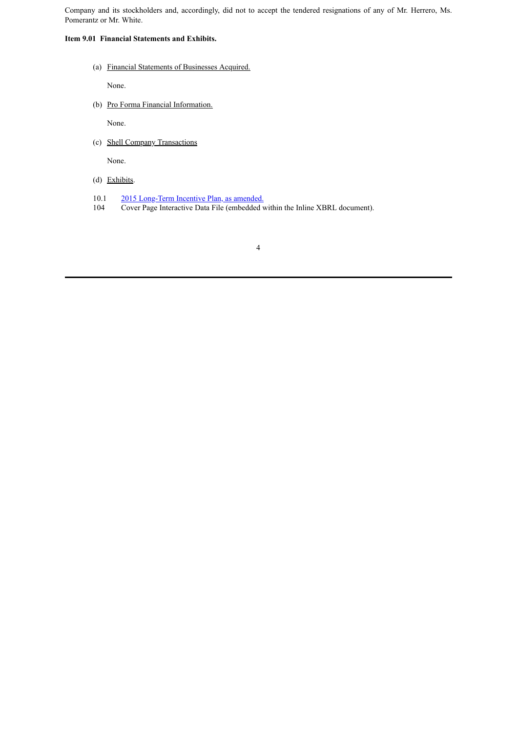Company and its stockholders and, accordingly, did not to accept the tendered resignations of any of Mr. Herrero, Ms. Pomerantz or Mr. White.

#### **Item 9.01 Financial Statements and Exhibits.**

(a) Financial Statements of Businesses Acquired.

None.

(b) Pro Forma Financial Information.

None.

(c) Shell Company Transactions

None.

- (d) Exhibits.
- 10.1 2015 [Long-Term](#page-6-0) Incentive Plan, as amended.
- 104 Cover Page Interactive Data File (embedded within the Inline XBRL document).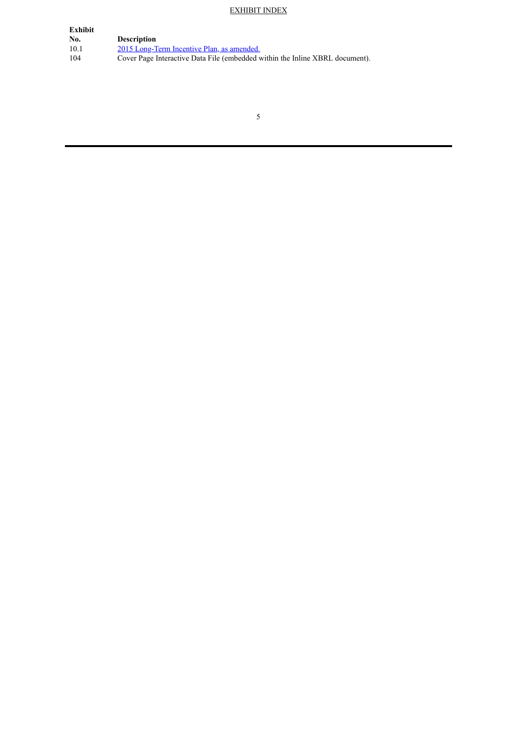#### EXHIBIT INDEX

| Exhibit |                                                                              |
|---------|------------------------------------------------------------------------------|
| No.     | <b>Description</b>                                                           |
| 10.1    | 2015 Long-Term Incentive Plan, as amended.                                   |
| 104     | Cover Page Interactive Data File (embedded within the Inline XBRL document). |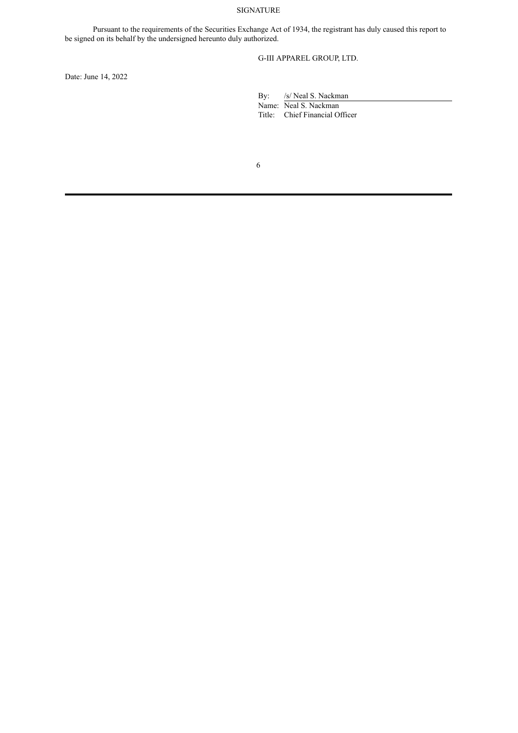#### SIGNATURE

Pursuant to the requirements of the Securities Exchange Act of 1934, the registrant has duly caused this report to be signed on its behalf by the undersigned hereunto duly authorized.

G-III APPAREL GROUP, LTD.

Date: June 14, 2022

By: /s/ Neal S. Nackman Name: Neal S. Nackman

Title: Chief Financial Officer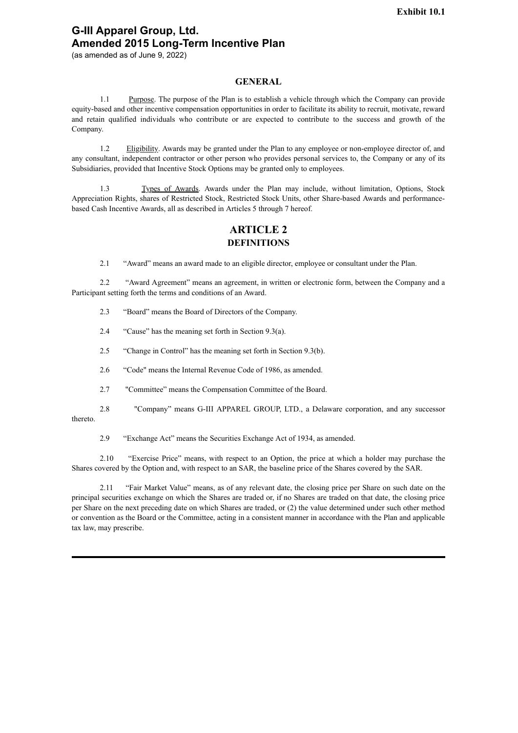### <span id="page-6-0"></span>**G-III Apparel Group, Ltd. Amended 2015 Long-Term Incentive Plan**

(as amended as of June 9, 2022)

#### **GENERAL**

1.1 Purpose. The purpose of the Plan is to establish a vehicle through which the Company can provide equity-based and other incentive compensation opportunities in order to facilitate its ability to recruit, motivate, reward and retain qualified individuals who contribute or are expected to contribute to the success and growth of the Company.

1.2 Eligibility. Awards may be granted under the Plan to any employee or non-employee director of, and any consultant, independent contractor or other person who provides personal services to, the Company or any of its Subsidiaries, provided that Incentive Stock Options may be granted only to employees.

1.3 Types of Awards. Awards under the Plan may include, without limitation, Options, Stock Appreciation Rights, shares of Restricted Stock, Restricted Stock Units, other Share-based Awards and performancebased Cash Incentive Awards, all as described in Articles 5 through 7 hereof.

### **ARTICLE 2 DEFINITIONS**

2.1 "Award" means an award made to an eligible director, employee or consultant under the Plan.

2.2 "Award Agreement" means an agreement, in written or electronic form, between the Company and a Participant setting forth the terms and conditions of an Award.

2.3 "Board" means the Board of Directors of the Company.

2.4 "Cause" has the meaning set forth in Section 9.3(a).

2.5 "Change in Control" has the meaning set forth in Section 9.3(b).

2.6 "Code" means the Internal Revenue Code of 1986, as amended.

2.7 "Committee" means the Compensation Committee of the Board.

2.8 "Company" means G-III APPAREL GROUP, LTD., a Delaware corporation, and any successor thereto.

2.9 "Exchange Act" means the Securities Exchange Act of 1934, as amended.

2.10 "Exercise Price" means, with respect to an Option, the price at which a holder may purchase the Shares covered by the Option and, with respect to an SAR, the baseline price of the Shares covered by the SAR.

2.11 "Fair Market Value" means, as of any relevant date, the closing price per Share on such date on the principal securities exchange on which the Shares are traded or, if no Shares are traded on that date, the closing price per Share on the next preceding date on which Shares are traded, or (2) the value determined under such other method or convention as the Board or the Committee, acting in a consistent manner in accordance with the Plan and applicable tax law, may prescribe.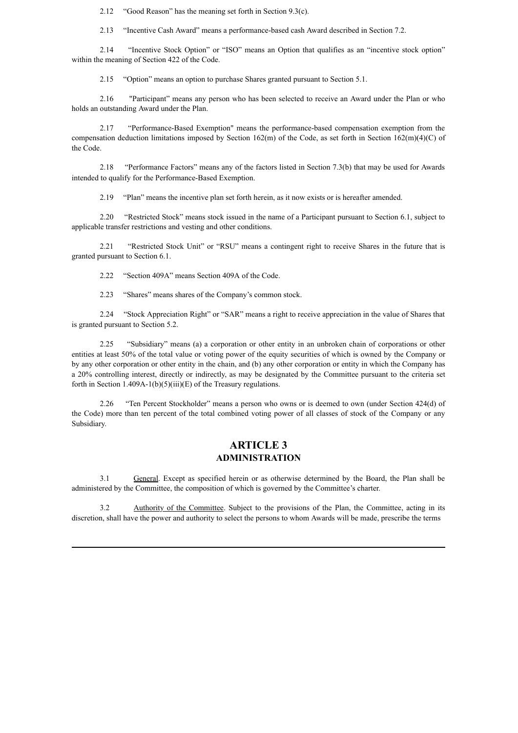2.12 "Good Reason" has the meaning set forth in Section 9.3(c).

2.13 "Incentive Cash Award" means a performance-based cash Award described in Section 7.2.

2.14 "Incentive Stock Option" or "ISO" means an Option that qualifies as an "incentive stock option" within the meaning of Section 422 of the Code.

2.15 "Option" means an option to purchase Shares granted pursuant to Section 5.1.

2.16 "Participant" means any person who has been selected to receive an Award under the Plan or who holds an outstanding Award under the Plan.

2.17 "Performance-Based Exemption" means the performance-based compensation exemption from the compensation deduction limitations imposed by Section 162(m) of the Code, as set forth in Section 162(m)(4)(C) of the Code.

2.18 "Performance Factors" means any of the factors listed in Section 7.3(b) that may be used for Awards intended to qualify for the Performance-Based Exemption.

2.19 "Plan" means the incentive plan set forth herein, as it now exists or is hereafter amended.

2.20 "Restricted Stock" means stock issued in the name of a Participant pursuant to Section 6.1, subject to applicable transfer restrictions and vesting and other conditions.

2.21 "Restricted Stock Unit" or "RSU" means a contingent right to receive Shares in the future that is granted pursuant to Section 6.1.

2.22 "Section 409A" means Section 409A of the Code.

2.23 "Shares" means shares of the Company's common stock.

2.24 "Stock Appreciation Right" or "SAR" means a right to receive appreciation in the value of Shares that is granted pursuant to Section 5.2.

2.25 "Subsidiary" means (a) a corporation or other entity in an unbroken chain of corporations or other entities at least 50% of the total value or voting power of the equity securities of which is owned by the Company or by any other corporation or other entity in the chain, and (b) any other corporation or entity in which the Company has a 20% controlling interest, directly or indirectly, as may be designated by the Committee pursuant to the criteria set forth in Section 1.409A-1(b)(5)(iii)(E) of the Treasury regulations.

2.26 "Ten Percent Stockholder" means a person who owns or is deemed to own (under Section 424(d) of the Code) more than ten percent of the total combined voting power of all classes of stock of the Company or any Subsidiary.

### **ARTICLE 3 ADMINISTRATION**

3.1 General. Except as specified herein or as otherwise determined by the Board, the Plan shall be administered by the Committee, the composition of which is governed by the Committee's charter.

3.2 Authority of the Committee. Subject to the provisions of the Plan, the Committee, acting in its discretion, shall have the power and authority to select the persons to whom Awards will be made, prescribe the terms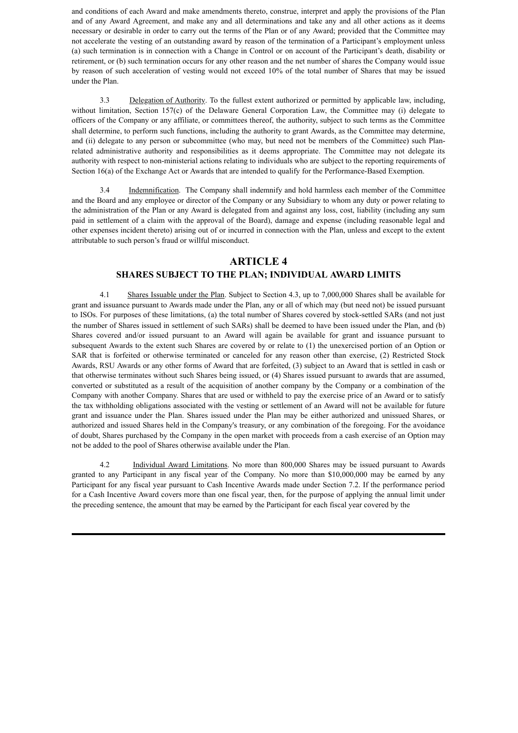and conditions of each Award and make amendments thereto, construe, interpret and apply the provisions of the Plan and of any Award Agreement, and make any and all determinations and take any and all other actions as it deems necessary or desirable in order to carry out the terms of the Plan or of any Award; provided that the Committee may not accelerate the vesting of an outstanding award by reason of the termination of a Participant's employment unless (a) such termination is in connection with a Change in Control or on account of the Participant's death, disability or retirement, or (b) such termination occurs for any other reason and the net number of shares the Company would issue by reason of such acceleration of vesting would not exceed 10% of the total number of Shares that may be issued under the Plan.

3.3 Delegation of Authority. To the fullest extent authorized or permitted by applicable law, including, without limitation, Section 157(c) of the Delaware General Corporation Law, the Committee may (i) delegate to officers of the Company or any affiliate, or committees thereof, the authority, subject to such terms as the Committee shall determine, to perform such functions, including the authority to grant Awards, as the Committee may determine, and (ii) delegate to any person or subcommittee (who may, but need not be members of the Committee) such Planrelated administrative authority and responsibilities as it deems appropriate. The Committee may not delegate its authority with respect to non-ministerial actions relating to individuals who are subject to the reporting requirements of Section 16(a) of the Exchange Act or Awards that are intended to qualify for the Performance-Based Exemption.

3.4 Indemnification. The Company shall indemnify and hold harmless each member of the Committee and the Board and any employee or director of the Company or any Subsidiary to whom any duty or power relating to the administration of the Plan or any Award is delegated from and against any loss, cost, liability (including any sum paid in settlement of a claim with the approval of the Board), damage and expense (including reasonable legal and other expenses incident thereto) arising out of or incurred in connection with the Plan, unless and except to the extent attributable to such person's fraud or willful misconduct.

### **ARTICLE 4 SHARES SUBJECT TO THE PLAN; INDIVIDUAL AWARD LIMITS**

4.1 Shares Issuable under the Plan. Subject to Section 4.3, up to 7,000,000 Shares shall be available for grant and issuance pursuant to Awards made under the Plan, any or all of which may (but need not) be issued pursuant to ISOs. For purposes of these limitations, (a) the total number of Shares covered by stock-settled SARs (and not just the number of Shares issued in settlement of such SARs) shall be deemed to have been issued under the Plan, and (b) Shares covered and/or issued pursuant to an Award will again be available for grant and issuance pursuant to subsequent Awards to the extent such Shares are covered by or relate to (1) the unexercised portion of an Option or SAR that is forfeited or otherwise terminated or canceled for any reason other than exercise, (2) Restricted Stock Awards, RSU Awards or any other forms of Award that are forfeited, (3) subject to an Award that is settled in cash or that otherwise terminates without such Shares being issued, or (4) Shares issued pursuant to awards that are assumed, converted or substituted as a result of the acquisition of another company by the Company or a combination of the Company with another Company. Shares that are used or withheld to pay the exercise price of an Award or to satisfy the tax withholding obligations associated with the vesting or settlement of an Award will not be available for future grant and issuance under the Plan. Shares issued under the Plan may be either authorized and unissued Shares, or authorized and issued Shares held in the Company's treasury, or any combination of the foregoing. For the avoidance of doubt, Shares purchased by the Company in the open market with proceeds from a cash exercise of an Option may not be added to the pool of Shares otherwise available under the Plan.

4.2 Individual Award Limitations. No more than 800,000 Shares may be issued pursuant to Awards granted to any Participant in any fiscal year of the Company. No more than \$10,000,000 may be earned by any Participant for any fiscal year pursuant to Cash Incentive Awards made under Section 7.2. If the performance period for a Cash Incentive Award covers more than one fiscal year, then, for the purpose of applying the annual limit under the preceding sentence, the amount that may be earned by the Participant for each fiscal year covered by the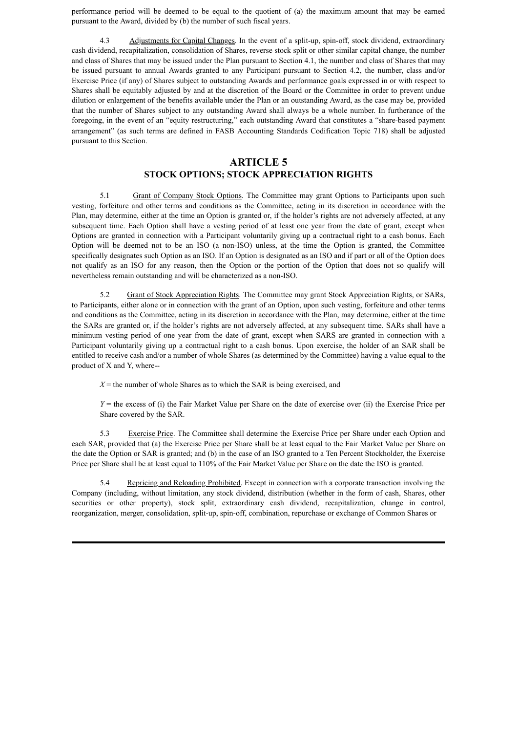performance period will be deemed to be equal to the quotient of (a) the maximum amount that may be earned pursuant to the Award, divided by (b) the number of such fiscal years.

4.3 Adjustments for Capital Changes. In the event of a split-up, spin-off, stock dividend, extraordinary cash dividend, recapitalization, consolidation of Shares, reverse stock split or other similar capital change, the number and class of Shares that may be issued under the Plan pursuant to Section 4.1, the number and class of Shares that may be issued pursuant to annual Awards granted to any Participant pursuant to Section 4.2, the number, class and/or Exercise Price (if any) of Shares subject to outstanding Awards and performance goals expressed in or with respect to Shares shall be equitably adjusted by and at the discretion of the Board or the Committee in order to prevent undue dilution or enlargement of the benefits available under the Plan or an outstanding Award, as the case may be, provided that the number of Shares subject to any outstanding Award shall always be a whole number. In furtherance of the foregoing, in the event of an "equity restructuring," each outstanding Award that constitutes a "share-based payment arrangement" (as such terms are defined in FASB Accounting Standards Codification Topic 718) shall be adjusted pursuant to this Section.

#### **ARTICLE 5**

#### **STOCK OPTIONS; STOCK APPRECIATION RIGHTS**

5.1 Grant of Company Stock Options. The Committee may grant Options to Participants upon such vesting, forfeiture and other terms and conditions as the Committee, acting in its discretion in accordance with the Plan, may determine, either at the time an Option is granted or, if the holder's rights are not adversely affected, at any subsequent time. Each Option shall have a vesting period of at least one year from the date of grant, except when Options are granted in connection with a Participant voluntarily giving up a contractual right to a cash bonus. Each Option will be deemed not to be an ISO (a non-ISO) unless, at the time the Option is granted, the Committee specifically designates such Option as an ISO. If an Option is designated as an ISO and if part or all of the Option does not qualify as an ISO for any reason, then the Option or the portion of the Option that does not so qualify will nevertheless remain outstanding and will be characterized as a non-ISO.

5.2 Grant of Stock Appreciation Rights. The Committee may grant Stock Appreciation Rights, or SARs, to Participants, either alone or in connection with the grant of an Option, upon such vesting, forfeiture and other terms and conditions as the Committee, acting in its discretion in accordance with the Plan, may determine, either at the time the SARs are granted or, if the holder's rights are not adversely affected, at any subsequent time. SARs shall have a minimum vesting period of one year from the date of grant, except when SARS are granted in connection with a Participant voluntarily giving up a contractual right to a cash bonus. Upon exercise, the holder of an SAR shall be entitled to receive cash and/or a number of whole Shares (as determined by the Committee) having a value equal to the product of X and Y, where--

 $X =$  the number of whole Shares as to which the SAR is being exercised, and

*Y* = the excess of (i) the Fair Market Value per Share on the date of exercise over (ii) the Exercise Price per Share covered by the SAR.

5.3 Exercise Price. The Committee shall determine the Exercise Price per Share under each Option and each SAR, provided that (a) the Exercise Price per Share shall be at least equal to the Fair Market Value per Share on the date the Option or SAR is granted; and (b) in the case of an ISO granted to a Ten Percent Stockholder, the Exercise Price per Share shall be at least equal to 110% of the Fair Market Value per Share on the date the ISO is granted.

5.4 Repricing and Reloading Prohibited. Except in connection with a corporate transaction involving the Company (including, without limitation, any stock dividend, distribution (whether in the form of cash, Shares, other securities or other property), stock split, extraordinary cash dividend, recapitalization, change in control, reorganization, merger, consolidation, split-up, spin-off, combination, repurchase or exchange of Common Shares or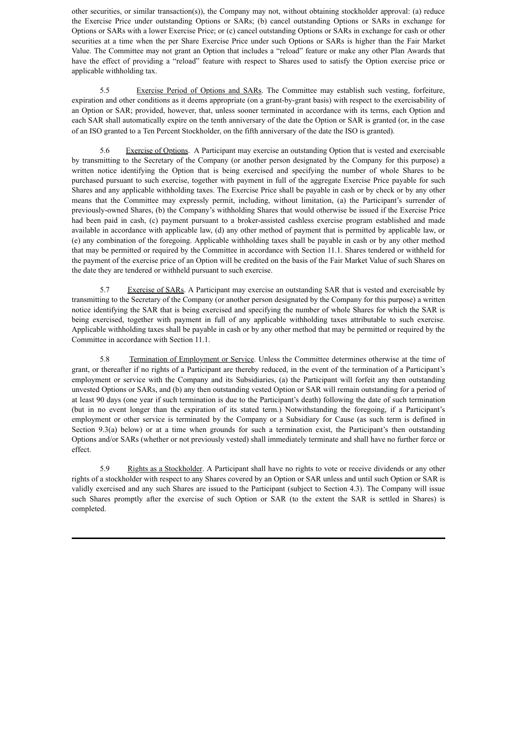other securities, or similar transaction(s)), the Company may not, without obtaining stockholder approval: (a) reduce the Exercise Price under outstanding Options or SARs; (b) cancel outstanding Options or SARs in exchange for Options or SARs with a lower Exercise Price; or (c) cancel outstanding Options or SARs in exchange for cash or other securities at a time when the per Share Exercise Price under such Options or SARs is higher than the Fair Market Value. The Committee may not grant an Option that includes a "reload" feature or make any other Plan Awards that have the effect of providing a "reload" feature with respect to Shares used to satisfy the Option exercise price or applicable withholding tax.

5.5 Exercise Period of Options and SARs. The Committee may establish such vesting, forfeiture, expiration and other conditions as it deems appropriate (on a grant-by-grant basis) with respect to the exercisability of an Option or SAR; provided, however, that, unless sooner terminated in accordance with its terms, each Option and each SAR shall automatically expire on the tenth anniversary of the date the Option or SAR is granted (or, in the case of an ISO granted to a Ten Percent Stockholder, on the fifth anniversary of the date the ISO is granted).

5.6 Exercise of Options. A Participant may exercise an outstanding Option that is vested and exercisable by transmitting to the Secretary of the Company (or another person designated by the Company for this purpose) a written notice identifying the Option that is being exercised and specifying the number of whole Shares to be purchased pursuant to such exercise, together with payment in full of the aggregate Exercise Price payable for such Shares and any applicable withholding taxes. The Exercise Price shall be payable in cash or by check or by any other means that the Committee may expressly permit, including, without limitation, (a) the Participant's surrender of previously-owned Shares, (b) the Company's withholding Shares that would otherwise be issued if the Exercise Price had been paid in cash, (c) payment pursuant to a broker-assisted cashless exercise program established and made available in accordance with applicable law, (d) any other method of payment that is permitted by applicable law, or (e) any combination of the foregoing. Applicable withholding taxes shall be payable in cash or by any other method that may be permitted or required by the Committee in accordance with Section 11.1. Shares tendered or withheld for the payment of the exercise price of an Option will be credited on the basis of the Fair Market Value of such Shares on the date they are tendered or withheld pursuant to such exercise.

5.7 Exercise of SARs. A Participant may exercise an outstanding SAR that is vested and exercisable by transmitting to the Secretary of the Company (or another person designated by the Company for this purpose) a written notice identifying the SAR that is being exercised and specifying the number of whole Shares for which the SAR is being exercised, together with payment in full of any applicable withholding taxes attributable to such exercise. Applicable withholding taxes shall be payable in cash or by any other method that may be permitted or required by the Committee in accordance with Section 11.1.

5.8 Termination of Employment or Service. Unless the Committee determines otherwise at the time of grant, or thereafter if no rights of a Participant are thereby reduced, in the event of the termination of a Participant's employment or service with the Company and its Subsidiaries, (a) the Participant will forfeit any then outstanding unvested Options or SARs, and (b) any then outstanding vested Option or SAR will remain outstanding for a period of at least 90 days (one year if such termination is due to the Participant's death) following the date of such termination (but in no event longer than the expiration of its stated term.) Notwithstanding the foregoing, if a Participant's employment or other service is terminated by the Company or a Subsidiary for Cause (as such term is defined in Section 9.3(a) below) or at a time when grounds for such a termination exist, the Participant's then outstanding Options and/or SARs (whether or not previously vested) shall immediately terminate and shall have no further force or effect.

5.9 Rights as a Stockholder. A Participant shall have no rights to vote or receive dividends or any other rights of a stockholder with respect to any Shares covered by an Option or SAR unless and until such Option or SAR is validly exercised and any such Shares are issued to the Participant (subject to Section 4.3). The Company will issue such Shares promptly after the exercise of such Option or SAR (to the extent the SAR is settled in Shares) is completed.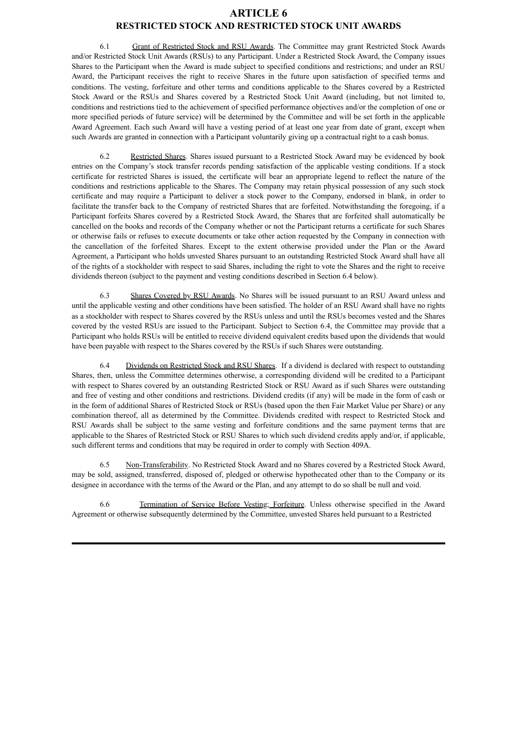#### **ARTICLE 6 RESTRICTED STOCK AND RESTRICTED STOCK UNIT AWARDS**

6.1 Grant of Restricted Stock and RSU Awards. The Committee may grant Restricted Stock Awards and/or Restricted Stock Unit Awards (RSUs) to any Participant. Under a Restricted Stock Award, the Company issues Shares to the Participant when the Award is made subject to specified conditions and restrictions; and under an RSU Award, the Participant receives the right to receive Shares in the future upon satisfaction of specified terms and conditions. The vesting, forfeiture and other terms and conditions applicable to the Shares covered by a Restricted Stock Award or the RSUs and Shares covered by a Restricted Stock Unit Award (including, but not limited to, conditions and restrictions tied to the achievement of specified performance objectives and/or the completion of one or more specified periods of future service) will be determined by the Committee and will be set forth in the applicable Award Agreement. Each such Award will have a vesting period of at least one year from date of grant, except when such Awards are granted in connection with a Participant voluntarily giving up a contractual right to a cash bonus.

6.2 Restricted Shares. Shares issued pursuant to a Restricted Stock Award may be evidenced by book entries on the Company's stock transfer records pending satisfaction of the applicable vesting conditions. If a stock certificate for restricted Shares is issued, the certificate will bear an appropriate legend to reflect the nature of the conditions and restrictions applicable to the Shares. The Company may retain physical possession of any such stock certificate and may require a Participant to deliver a stock power to the Company, endorsed in blank, in order to facilitate the transfer back to the Company of restricted Shares that are forfeited. Notwithstanding the foregoing, if a Participant forfeits Shares covered by a Restricted Stock Award, the Shares that are forfeited shall automatically be cancelled on the books and records of the Company whether or not the Participant returns a certificate for such Shares or otherwise fails or refuses to execute documents or take other action requested by the Company in connection with the cancellation of the forfeited Shares. Except to the extent otherwise provided under the Plan or the Award Agreement, a Participant who holds unvested Shares pursuant to an outstanding Restricted Stock Award shall have all of the rights of a stockholder with respect to said Shares, including the right to vote the Shares and the right to receive dividends thereon (subject to the payment and vesting conditions described in Section 6.4 below).

6.3 Shares Covered by RSU Awards. No Shares will be issued pursuant to an RSU Award unless and until the applicable vesting and other conditions have been satisfied. The holder of an RSU Award shall have no rights as a stockholder with respect to Shares covered by the RSUs unless and until the RSUs becomes vested and the Shares covered by the vested RSUs are issued to the Participant. Subject to Section 6.4, the Committee may provide that a Participant who holds RSUs will be entitled to receive dividend equivalent credits based upon the dividends that would have been payable with respect to the Shares covered by the RSUs if such Shares were outstanding.

6.4 Dividends on Restricted Stock and RSU Shares. If a dividend is declared with respect to outstanding Shares, then, unless the Committee determines otherwise, a corresponding dividend will be credited to a Participant with respect to Shares covered by an outstanding Restricted Stock or RSU Award as if such Shares were outstanding and free of vesting and other conditions and restrictions. Dividend credits (if any) will be made in the form of cash or in the form of additional Shares of Restricted Stock or RSUs (based upon the then Fair Market Value per Share) or any combination thereof, all as determined by the Committee. Dividends credited with respect to Restricted Stock and RSU Awards shall be subject to the same vesting and forfeiture conditions and the same payment terms that are applicable to the Shares of Restricted Stock or RSU Shares to which such dividend credits apply and/or, if applicable, such different terms and conditions that may be required in order to comply with Section 409A.

6.5 Non-Transferability. No Restricted Stock Award and no Shares covered by a Restricted Stock Award, may be sold, assigned, transferred, disposed of, pledged or otherwise hypothecated other than to the Company or its designee in accordance with the terms of the Award or the Plan, and any attempt to do so shall be null and void.

6.6 Termination of Service Before Vesting; Forfeiture. Unless otherwise specified in the Award Agreement or otherwise subsequently determined by the Committee, unvested Shares held pursuant to a Restricted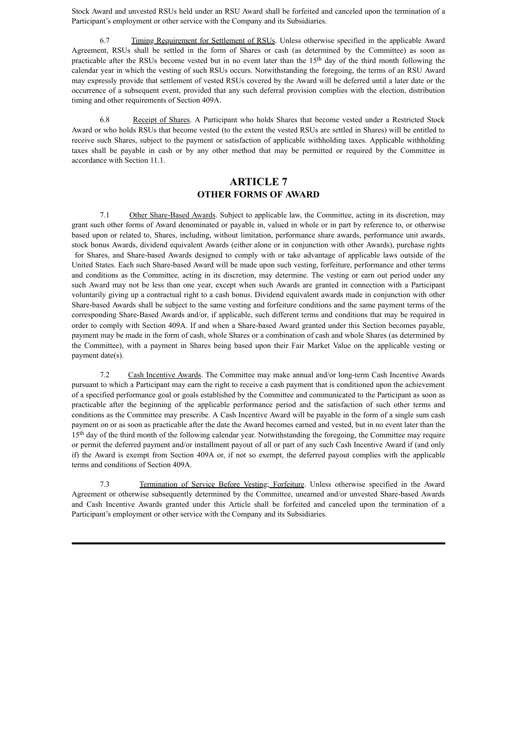Stock Award and unvested RSUs held under an RSU Award shall be forfeited and canceled upon the termination of a Participant's employment or other service with the Company and its Subsidiaries.

6.7 Timing Requirement for Settlement of RSUs. Unless otherwise specified in the applicable Award Agreement, RSUs shall be settled in the form of Shares or cash (as determined by the Committee) as soon as practicable after the RSUs become vested but in no event later than the 15<sup>th</sup> day of the third month following the calendar year in which the vesting of such RSUs occurs. Notwithstanding the foregoing, the terms of an RSU Award may expressly provide that settlement of vested RSUs covered by the Award will be deferred until a later date or the occurrence of a subsequent event, provided that any such deferral provision complies with the election, distribution timing and other requirements of Section 409A.

6.8 Receipt of Shares. A Participant who holds Shares that become vested under a Restricted Stock Award or who holds RSUs that become vested (to the extent the vested RSUs are settled in Shares) will be entitled to receive such Shares, subject to the payment or satisfaction of applicable withholding taxes. Applicable withholding taxes shall be payable in cash or by any other method that may be permitted or required by the Committee in accordance with Section 11.1.

### **ARTICLE 7 OTHER FORMS OF AWARD**

7.1 Other Share-Based Awards. Subject to applicable law, the Committee, acting in its discretion, may grant such other forms of Award denominated or payable in, valued in whole or in part by reference to, or otherwise based upon or related to, Shares, including, without limitation, performance share awards, performance unit awards, stock bonus Awards, dividend equivalent Awards (either alone or in conjunction with other Awards), purchase rights for Shares, and Share-based Awards designed to comply with or take advantage of applicable laws outside of the United States. Each such Share-based Award will be made upon such vesting, forfeiture, performance and other terms and conditions as the Committee, acting in its discretion, may determine. The vesting or earn out period under any such Award may not be less than one year, except when such Awards are granted in connection with a Participant voluntarily giving up a contractual right to a cash bonus. Dividend equivalent awards made in conjunction with other Share-based Awards shall be subject to the same vesting and forfeiture conditions and the same payment terms of the corresponding Share-Based Awards and/or, if applicable, such different terms and conditions that may be required in order to comply with Section 409A. If and when a Share-based Award granted under this Section becomes payable, payment may be made in the form of cash, whole Shares or a combination of cash and whole Shares (as determined by the Committee), with a payment in Shares being based upon their Fair Market Value on the applicable vesting or payment date(s).

7.2 Cash Incentive Awards. The Committee may make annual and/or long-term Cash Incentive Awards pursuant to which a Participant may earn the right to receive a cash payment that is conditioned upon the achievement of a specified performance goal or goals established by the Committee and communicated to the Participant as soon as practicable after the beginning of the applicable performance period and the satisfaction of such other terms and conditions as the Committee may prescribe. A Cash Incentive Award will be payable in the form of a single sum cash payment on or as soon as practicable after the date the Award becomes earned and vested, but in no event later than the 15<sup>th</sup> day of the third month of the following calendar year. Notwithstanding the foregoing, the Committee may require or permit the deferred payment and/or installment payout of all or part of any such Cash Incentive Award if (and only if) the Award is exempt from Section 409A or, if not so exempt, the deferred payout complies with the applicable terms and conditions of Section 409A.

7.3 Termination of Service Before Vesting; Forfeiture. Unless otherwise specified in the Award Agreement or otherwise subsequently determined by the Committee, unearned and/or unvested Share-based Awards and Cash Incentive Awards granted under this Article shall be forfeited and canceled upon the termination of a Participant's employment or other service with the Company and its Subsidiaries.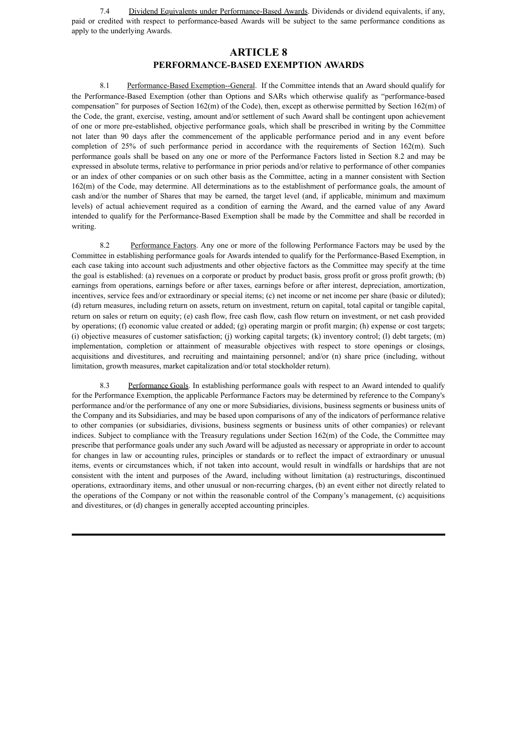7.4 Dividend Equivalents under Performance-Based Awards. Dividends or dividend equivalents, if any, paid or credited with respect to performance-based Awards will be subject to the same performance conditions as apply to the underlying Awards.

### **ARTICLE 8 PERFORMANCE-BASED EXEMPTION AWARDS**

8.1 Performance-Based Exemption--General. If the Committee intends that an Award should qualify for the Performance-Based Exemption (other than Options and SARs which otherwise qualify as "performance-based compensation" for purposes of Section 162(m) of the Code), then, except as otherwise permitted by Section 162(m) of the Code, the grant, exercise, vesting, amount and/or settlement of such Award shall be contingent upon achievement of one or more pre-established, objective performance goals, which shall be prescribed in writing by the Committee not later than 90 days after the commencement of the applicable performance period and in any event before completion of 25% of such performance period in accordance with the requirements of Section 162(m). Such performance goals shall be based on any one or more of the Performance Factors listed in Section 8.2 and may be expressed in absolute terms, relative to performance in prior periods and/or relative to performance of other companies or an index of other companies or on such other basis as the Committee, acting in a manner consistent with Section 162(m) of the Code, may determine. All determinations as to the establishment of performance goals, the amount of cash and/or the number of Shares that may be earned, the target level (and, if applicable, minimum and maximum levels) of actual achievement required as a condition of earning the Award, and the earned value of any Award intended to qualify for the Performance-Based Exemption shall be made by the Committee and shall be recorded in writing.

8.2 Performance Factors. Any one or more of the following Performance Factors may be used by the Committee in establishing performance goals for Awards intended to qualify for the Performance-Based Exemption, in each case taking into account such adjustments and other objective factors as the Committee may specify at the time the goal is established: (a) revenues on a corporate or product by product basis, gross profit or gross profit growth; (b) earnings from operations, earnings before or after taxes, earnings before or after interest, depreciation, amortization, incentives, service fees and/or extraordinary or special items; (c) net income or net income per share (basic or diluted); (d) return measures, including return on assets, return on investment, return on capital, total capital or tangible capital, return on sales or return on equity; (e) cash flow, free cash flow, cash flow return on investment, or net cash provided by operations; (f) economic value created or added; (g) operating margin or profit margin; (h) expense or cost targets; (i) objective measures of customer satisfaction; (j) working capital targets; (k) inventory control; (l) debt targets; (m) implementation, completion or attainment of measurable objectives with respect to store openings or closings, acquisitions and divestitures, and recruiting and maintaining personnel; and/or (n) share price (including, without limitation, growth measures, market capitalization and/or total stockholder return).

Performance Goals. In establishing performance goals with respect to an Award intended to qualify for the Performance Exemption, the applicable Performance Factors may be determined by reference to the Company's performance and/or the performance of any one or more Subsidiaries, divisions, business segments or business units of the Company and its Subsidiaries, and may be based upon comparisons of any of the indicators of performance relative to other companies (or subsidiaries, divisions, business segments or business units of other companies) or relevant indices. Subject to compliance with the Treasury regulations under Section 162(m) of the Code, the Committee may prescribe that performance goals under any such Award will be adjusted as necessary or appropriate in order to account for changes in law or accounting rules, principles or standards or to reflect the impact of extraordinary or unusual items, events or circumstances which, if not taken into account, would result in windfalls or hardships that are not consistent with the intent and purposes of the Award, including without limitation (a) restructurings, discontinued operations, extraordinary items, and other unusual or non-recurring charges, (b) an event either not directly related to the operations of the Company or not within the reasonable control of the Company's management, (c) acquisitions and divestitures, or (d) changes in generally accepted accounting principles.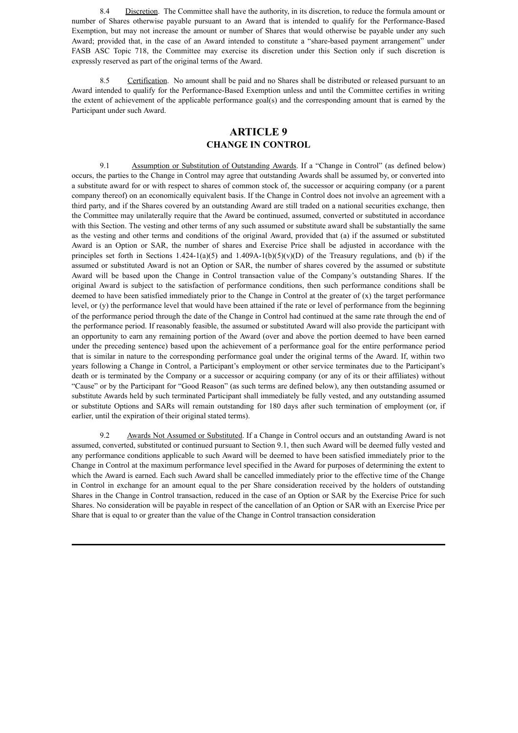8.4 Discretion. The Committee shall have the authority, in its discretion, to reduce the formula amount or number of Shares otherwise payable pursuant to an Award that is intended to qualify for the Performance-Based Exemption, but may not increase the amount or number of Shares that would otherwise be payable under any such Award; provided that, in the case of an Award intended to constitute a "share-based payment arrangement" under FASB ASC Topic 718, the Committee may exercise its discretion under this Section only if such discretion is expressly reserved as part of the original terms of the Award.

8.5 Certification. No amount shall be paid and no Shares shall be distributed or released pursuant to an Award intended to qualify for the Performance-Based Exemption unless and until the Committee certifies in writing the extent of achievement of the applicable performance goal(s) and the corresponding amount that is earned by the Participant under such Award.

### **ARTICLE 9 CHANGE IN CONTROL**

9.1 Assumption or Substitution of Outstanding Awards. If a "Change in Control" (as defined below) occurs, the parties to the Change in Control may agree that outstanding Awards shall be assumed by, or converted into a substitute award for or with respect to shares of common stock of, the successor or acquiring company (or a parent company thereof) on an economically equivalent basis. If the Change in Control does not involve an agreement with a third party, and if the Shares covered by an outstanding Award are still traded on a national securities exchange, then the Committee may unilaterally require that the Award be continued, assumed, converted or substituted in accordance with this Section. The vesting and other terms of any such assumed or substitute award shall be substantially the same as the vesting and other terms and conditions of the original Award, provided that (a) if the assumed or substituted Award is an Option or SAR, the number of shares and Exercise Price shall be adjusted in accordance with the principles set forth in Sections 1.424-1(a)(5) and 1.409A-1(b)(5)(v)(D) of the Treasury regulations, and (b) if the assumed or substituted Award is not an Option or SAR, the number of shares covered by the assumed or substitute Award will be based upon the Change in Control transaction value of the Company's outstanding Shares. If the original Award is subject to the satisfaction of performance conditions, then such performance conditions shall be deemed to have been satisfied immediately prior to the Change in Control at the greater of  $(x)$  the target performance level, or (y) the performance level that would have been attained if the rate or level of performance from the beginning of the performance period through the date of the Change in Control had continued at the same rate through the end of the performance period. If reasonably feasible, the assumed or substituted Award will also provide the participant with an opportunity to earn any remaining portion of the Award (over and above the portion deemed to have been earned under the preceding sentence) based upon the achievement of a performance goal for the entire performance period that is similar in nature to the corresponding performance goal under the original terms of the Award. If, within two years following a Change in Control, a Participant's employment or other service terminates due to the Participant's death or is terminated by the Company or a successor or acquiring company (or any of its or their affiliates) without "Cause" or by the Participant for "Good Reason" (as such terms are defined below), any then outstanding assumed or substitute Awards held by such terminated Participant shall immediately be fully vested, and any outstanding assumed or substitute Options and SARs will remain outstanding for 180 days after such termination of employment (or, if earlier, until the expiration of their original stated terms).

9.2 Awards Not Assumed or Substituted. If a Change in Control occurs and an outstanding Award is not assumed, converted, substituted or continued pursuant to Section 9.1, then such Award will be deemed fully vested and any performance conditions applicable to such Award will be deemed to have been satisfied immediately prior to the Change in Control at the maximum performance level specified in the Award for purposes of determining the extent to which the Award is earned. Each such Award shall be cancelled immediately prior to the effective time of the Change in Control in exchange for an amount equal to the per Share consideration received by the holders of outstanding Shares in the Change in Control transaction, reduced in the case of an Option or SAR by the Exercise Price for such Shares. No consideration will be payable in respect of the cancellation of an Option or SAR with an Exercise Price per Share that is equal to or greater than the value of the Change in Control transaction consideration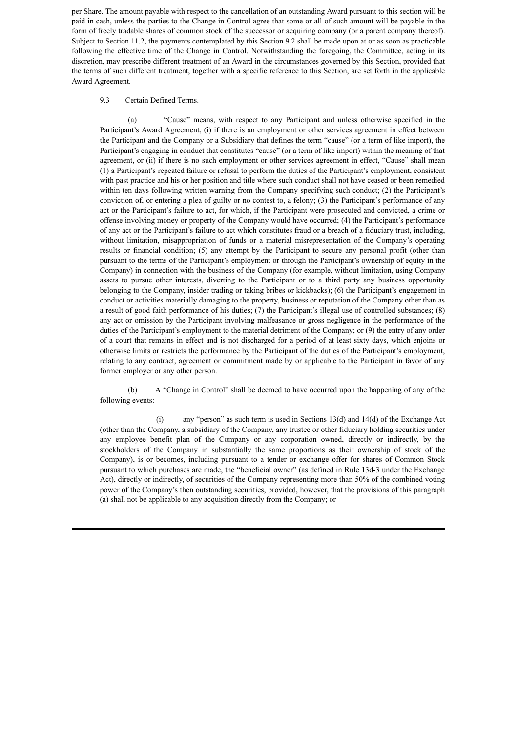per Share. The amount payable with respect to the cancellation of an outstanding Award pursuant to this section will be paid in cash, unless the parties to the Change in Control agree that some or all of such amount will be payable in the form of freely tradable shares of common stock of the successor or acquiring company (or a parent company thereof). Subject to Section 11.2, the payments contemplated by this Section 9.2 shall be made upon at or as soon as practicable following the effective time of the Change in Control. Notwithstanding the foregoing, the Committee, acting in its discretion, may prescribe different treatment of an Award in the circumstances governed by this Section, provided that the terms of such different treatment, together with a specific reference to this Section, are set forth in the applicable Award Agreement.

#### 9.3 Certain Defined Terms.

(a) "Cause" means, with respect to any Participant and unless otherwise specified in the Participant's Award Agreement, (i) if there is an employment or other services agreement in effect between the Participant and the Company or a Subsidiary that defines the term "cause" (or a term of like import), the Participant's engaging in conduct that constitutes "cause" (or a term of like import) within the meaning of that agreement, or (ii) if there is no such employment or other services agreement in effect, "Cause" shall mean (1) a Participant's repeated failure or refusal to perform the duties of the Participant's employment, consistent with past practice and his or her position and title where such conduct shall not have ceased or been remedied within ten days following written warning from the Company specifying such conduct; (2) the Participant's conviction of, or entering a plea of guilty or no contest to, a felony; (3) the Participant's performance of any act or the Participant's failure to act, for which, if the Participant were prosecuted and convicted, a crime or offense involving money or property of the Company would have occurred; (4) the Participant's performance of any act or the Participant's failure to act which constitutes fraud or a breach of a fiduciary trust, including, without limitation, misappropriation of funds or a material misrepresentation of the Company's operating results or financial condition; (5) any attempt by the Participant to secure any personal profit (other than pursuant to the terms of the Participant's employment or through the Participant's ownership of equity in the Company) in connection with the business of the Company (for example, without limitation, using Company assets to pursue other interests, diverting to the Participant or to a third party any business opportunity belonging to the Company, insider trading or taking bribes or kickbacks); (6) the Participant's engagement in conduct or activities materially damaging to the property, business or reputation of the Company other than as a result of good faith performance of his duties; (7) the Participant's illegal use of controlled substances; (8) any act or omission by the Participant involving malfeasance or gross negligence in the performance of the duties of the Participant's employment to the material detriment of the Company; or (9) the entry of any order of a court that remains in effect and is not discharged for a period of at least sixty days, which enjoins or otherwise limits or restricts the performance by the Participant of the duties of the Participant's employment, relating to any contract, agreement or commitment made by or applicable to the Participant in favor of any former employer or any other person.

(b) A "Change in Control" shall be deemed to have occurred upon the happening of any of the following events:

(i) any "person" as such term is used in Sections 13(d) and 14(d) of the Exchange Act (other than the Company, a subsidiary of the Company, any trustee or other fiduciary holding securities under any employee benefit plan of the Company or any corporation owned, directly or indirectly, by the stockholders of the Company in substantially the same proportions as their ownership of stock of the Company), is or becomes, including pursuant to a tender or exchange offer for shares of Common Stock pursuant to which purchases are made, the "beneficial owner" (as defined in Rule 13d-3 under the Exchange Act), directly or indirectly, of securities of the Company representing more than 50% of the combined voting power of the Company's then outstanding securities, provided, however, that the provisions of this paragraph (a) shall not be applicable to any acquisition directly from the Company; or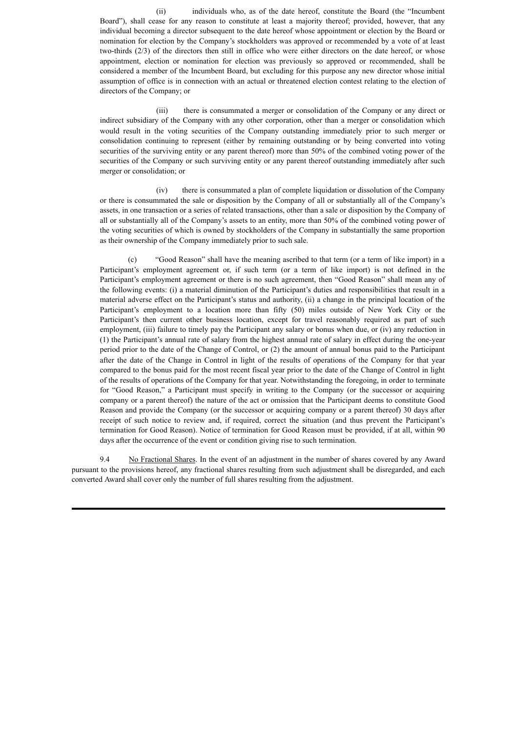(ii) individuals who, as of the date hereof, constitute the Board (the "Incumbent Board"), shall cease for any reason to constitute at least a majority thereof; provided, however, that any individual becoming a director subsequent to the date hereof whose appointment or election by the Board or nomination for election by the Company's stockholders was approved or recommended by a vote of at least two-thirds (2/3) of the directors then still in office who were either directors on the date hereof, or whose appointment, election or nomination for election was previously so approved or recommended, shall be considered a member of the Incumbent Board, but excluding for this purpose any new director whose initial assumption of office is in connection with an actual or threatened election contest relating to the election of directors of the Company; or

(iii) there is consummated a merger or consolidation of the Company or any direct or indirect subsidiary of the Company with any other corporation, other than a merger or consolidation which would result in the voting securities of the Company outstanding immediately prior to such merger or consolidation continuing to represent (either by remaining outstanding or by being converted into voting securities of the surviving entity or any parent thereof) more than 50% of the combined voting power of the securities of the Company or such surviving entity or any parent thereof outstanding immediately after such merger or consolidation; or

(iv) there is consummated a plan of complete liquidation or dissolution of the Company or there is consummated the sale or disposition by the Company of all or substantially all of the Company's assets, in one transaction or a series of related transactions, other than a sale or disposition by the Company of all or substantially all of the Company's assets to an entity, more than 50% of the combined voting power of the voting securities of which is owned by stockholders of the Company in substantially the same proportion as their ownership of the Company immediately prior to such sale.

(c) "Good Reason" shall have the meaning ascribed to that term (or a term of like import) in a Participant's employment agreement or, if such term (or a term of like import) is not defined in the Participant's employment agreement or there is no such agreement, then "Good Reason" shall mean any of the following events: (i) a material diminution of the Participant's duties and responsibilities that result in a material adverse effect on the Participant's status and authority, (ii) a change in the principal location of the Participant's employment to a location more than fifty (50) miles outside of New York City or the Participant's then current other business location, except for travel reasonably required as part of such employment, (iii) failure to timely pay the Participant any salary or bonus when due, or (iv) any reduction in (1) the Participant's annual rate of salary from the highest annual rate of salary in effect during the one-year period prior to the date of the Change of Control, or (2) the amount of annual bonus paid to the Participant after the date of the Change in Control in light of the results of operations of the Company for that year compared to the bonus paid for the most recent fiscal year prior to the date of the Change of Control in light of the results of operations of the Company for that year. Notwithstanding the foregoing, in order to terminate for "Good Reason," a Participant must specify in writing to the Company (or the successor or acquiring company or a parent thereof) the nature of the act or omission that the Participant deems to constitute Good Reason and provide the Company (or the successor or acquiring company or a parent thereof) 30 days after receipt of such notice to review and, if required, correct the situation (and thus prevent the Participant's termination for Good Reason). Notice of termination for Good Reason must be provided, if at all, within 90 days after the occurrence of the event or condition giving rise to such termination.

9.4 No Fractional Shares. In the event of an adjustment in the number of shares covered by any Award pursuant to the provisions hereof, any fractional shares resulting from such adjustment shall be disregarded, and each converted Award shall cover only the number of full shares resulting from the adjustment.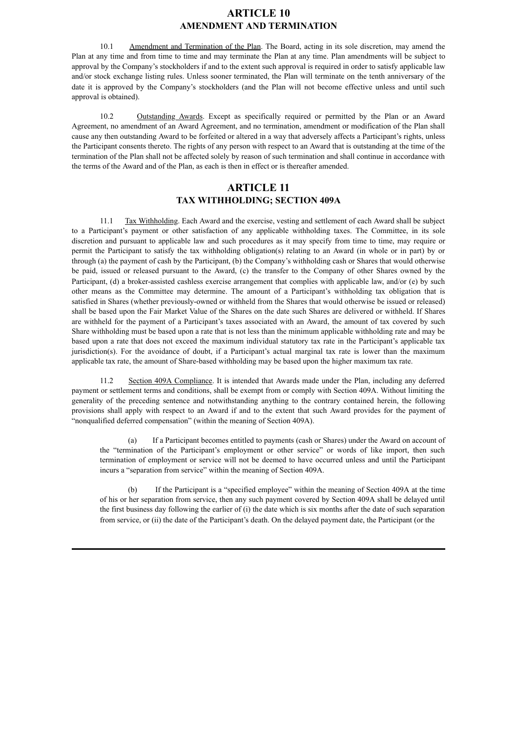#### **ARTICLE 10 AMENDMENT AND TERMINATION**

10.1 Amendment and Termination of the Plan. The Board, acting in its sole discretion, may amend the Plan at any time and from time to time and may terminate the Plan at any time. Plan amendments will be subject to approval by the Company's stockholders if and to the extent such approval is required in order to satisfy applicable law and/or stock exchange listing rules. Unless sooner terminated, the Plan will terminate on the tenth anniversary of the date it is approved by the Company's stockholders (and the Plan will not become effective unless and until such approval is obtained).

10.2 Outstanding Awards. Except as specifically required or permitted by the Plan or an Award Agreement, no amendment of an Award Agreement, and no termination, amendment or modification of the Plan shall cause any then outstanding Award to be forfeited or altered in a way that adversely affects a Participant's rights, unless the Participant consents thereto. The rights of any person with respect to an Award that is outstanding at the time of the termination of the Plan shall not be affected solely by reason of such termination and shall continue in accordance with the terms of the Award and of the Plan, as each is then in effect or is thereafter amended.

### **ARTICLE 11 TAX WITHHOLDING; SECTION 409A**

11.1 Tax Withholding. Each Award and the exercise, vesting and settlement of each Award shall be subject to a Participant's payment or other satisfaction of any applicable withholding taxes. The Committee, in its sole discretion and pursuant to applicable law and such procedures as it may specify from time to time, may require or permit the Participant to satisfy the tax withholding obligation(s) relating to an Award (in whole or in part) by or through (a) the payment of cash by the Participant, (b) the Company's withholding cash or Shares that would otherwise be paid, issued or released pursuant to the Award, (c) the transfer to the Company of other Shares owned by the Participant, (d) a broker-assisted cashless exercise arrangement that complies with applicable law, and/or (e) by such other means as the Committee may determine. The amount of a Participant's withholding tax obligation that is satisfied in Shares (whether previously-owned or withheld from the Shares that would otherwise be issued or released) shall be based upon the Fair Market Value of the Shares on the date such Shares are delivered or withheld. If Shares are withheld for the payment of a Participant's taxes associated with an Award, the amount of tax covered by such Share withholding must be based upon a rate that is not less than the minimum applicable withholding rate and may be based upon a rate that does not exceed the maximum individual statutory tax rate in the Participant's applicable tax jurisdiction(s). For the avoidance of doubt, if a Participant's actual marginal tax rate is lower than the maximum applicable tax rate, the amount of Share-based withholding may be based upon the higher maximum tax rate.

11.2 Section 409A Compliance. It is intended that Awards made under the Plan, including any deferred payment or settlement terms and conditions, shall be exempt from or comply with Section 409A. Without limiting the generality of the preceding sentence and notwithstanding anything to the contrary contained herein, the following provisions shall apply with respect to an Award if and to the extent that such Award provides for the payment of "nonqualified deferred compensation" (within the meaning of Section 409A).

(a) If a Participant becomes entitled to payments (cash or Shares) under the Award on account of the "termination of the Participant's employment or other service" or words of like import, then such termination of employment or service will not be deemed to have occurred unless and until the Participant incurs a "separation from service" within the meaning of Section 409A.

(b) If the Participant is a "specified employee" within the meaning of Section 409A at the time of his or her separation from service, then any such payment covered by Section 409A shall be delayed until the first business day following the earlier of (i) the date which is six months after the date of such separation from service, or (ii) the date of the Participant's death. On the delayed payment date, the Participant (or the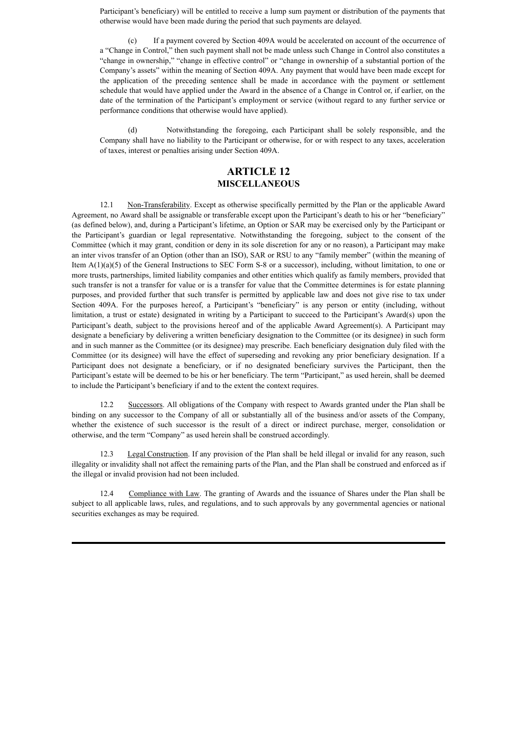Participant's beneficiary) will be entitled to receive a lump sum payment or distribution of the payments that otherwise would have been made during the period that such payments are delayed.

(c) If a payment covered by Section 409A would be accelerated on account of the occurrence of a "Change in Control," then such payment shall not be made unless such Change in Control also constitutes a "change in ownership," "change in effective control" or "change in ownership of a substantial portion of the Company's assets" within the meaning of Section 409A. Any payment that would have been made except for the application of the preceding sentence shall be made in accordance with the payment or settlement schedule that would have applied under the Award in the absence of a Change in Control or, if earlier, on the date of the termination of the Participant's employment or service (without regard to any further service or performance conditions that otherwise would have applied).

(d) Notwithstanding the foregoing, each Participant shall be solely responsible, and the Company shall have no liability to the Participant or otherwise, for or with respect to any taxes, acceleration of taxes, interest or penalties arising under Section 409A.

### **ARTICLE 12 MISCELLANEOUS**

12.1 Non-Transferability. Except as otherwise specifically permitted by the Plan or the applicable Award Agreement, no Award shall be assignable or transferable except upon the Participant's death to his or her "beneficiary" (as defined below), and, during a Participant's lifetime, an Option or SAR may be exercised only by the Participant or the Participant's guardian or legal representative. Notwithstanding the foregoing, subject to the consent of the Committee (which it may grant, condition or deny in its sole discretion for any or no reason), a Participant may make an inter vivos transfer of an Option (other than an ISO), SAR or RSU to any "family member" (within the meaning of Item A(1)(a)(5) of the General Instructions to SEC Form S-8 or a successor), including, without limitation, to one or more trusts, partnerships, limited liability companies and other entities which qualify as family members, provided that such transfer is not a transfer for value or is a transfer for value that the Committee determines is for estate planning purposes, and provided further that such transfer is permitted by applicable law and does not give rise to tax under Section 409A. For the purposes hereof, a Participant's "beneficiary" is any person or entity (including, without limitation, a trust or estate) designated in writing by a Participant to succeed to the Participant's Award(s) upon the Participant's death, subject to the provisions hereof and of the applicable Award Agreement(s). A Participant may designate a beneficiary by delivering a written beneficiary designation to the Committee (or its designee) in such form and in such manner as the Committee (or its designee) may prescribe. Each beneficiary designation duly filed with the Committee (or its designee) will have the effect of superseding and revoking any prior beneficiary designation. If a Participant does not designate a beneficiary, or if no designated beneficiary survives the Participant, then the Participant's estate will be deemed to be his or her beneficiary. The term "Participant," as used herein, shall be deemed to include the Participant's beneficiary if and to the extent the context requires.

12.2 Successors. All obligations of the Company with respect to Awards granted under the Plan shall be binding on any successor to the Company of all or substantially all of the business and/or assets of the Company, whether the existence of such successor is the result of a direct or indirect purchase, merger, consolidation or otherwise, and the term "Company" as used herein shall be construed accordingly.

12.3 Legal Construction. If any provision of the Plan shall be held illegal or invalid for any reason, such illegality or invalidity shall not affect the remaining parts of the Plan, and the Plan shall be construed and enforced as if the illegal or invalid provision had not been included.

12.4 Compliance with Law. The granting of Awards and the issuance of Shares under the Plan shall be subject to all applicable laws, rules, and regulations, and to such approvals by any governmental agencies or national securities exchanges as may be required.